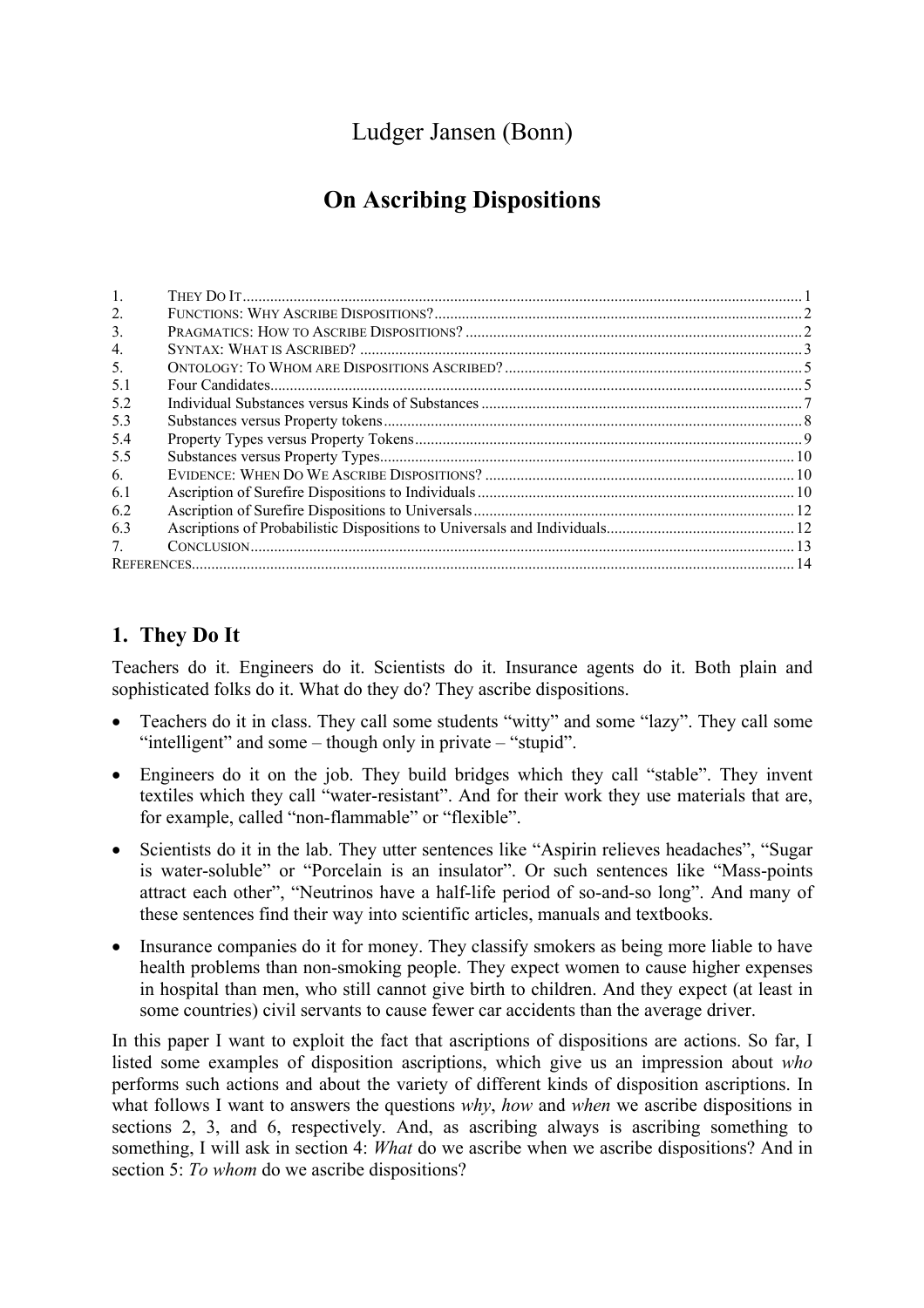Ludger Jansen (Bonn)

# **On Ascribing Dispositions**

| $\mathbf{1}$ .                   |  |
|----------------------------------|--|
| 2.                               |  |
| 3.                               |  |
| $\overline{4}$ .                 |  |
| 5.                               |  |
| 5.1                              |  |
| 5.2                              |  |
| 5.3                              |  |
| 5.4                              |  |
| 5.5                              |  |
| 6.                               |  |
| 6.1                              |  |
| 6.2                              |  |
| 6.3                              |  |
| $7_{\scriptscriptstyle{\ddots}}$ |  |
|                                  |  |

## **1. They Do It**

Teachers do it. Engineers do it. Scientists do it. Insurance agents do it. Both plain and sophisticated folks do it. What do they do? They ascribe dispositions.

- Teachers do it in class. They call some students "witty" and some "lazy". They call some "intelligent" and some – though only in private – "stupid".
- Engineers do it on the job. They build bridges which they call "stable". They invent textiles which they call "water-resistant". And for their work they use materials that are, for example, called "non-flammable" or "flexible".
- Scientists do it in the lab. They utter sentences like "Aspirin relieves headaches", "Sugar is water-soluble" or "Porcelain is an insulator". Or such sentences like "Mass-points attract each other", "Neutrinos have a half-life period of so-and-so long". And many of these sentences find their way into scientific articles, manuals and textbooks.
- Insurance companies do it for money. They classify smokers as being more liable to have health problems than non-smoking people. They expect women to cause higher expenses in hospital than men, who still cannot give birth to children. And they expect (at least in some countries) civil servants to cause fewer car accidents than the average driver.

In this paper I want to exploit the fact that ascriptions of dispositions are actions. So far, I listed some examples of disposition ascriptions, which give us an impression about *who* performs such actions and about the variety of different kinds of disposition ascriptions. In what follows I want to answers the questions *why*, *how* and *when* we ascribe dispositions in sections 2, 3, and 6, respectively. And, as ascribing always is ascribing something to something, I will ask in section 4: *What* do we ascribe when we ascribe dispositions? And in section 5: *To whom* do we ascribe dispositions?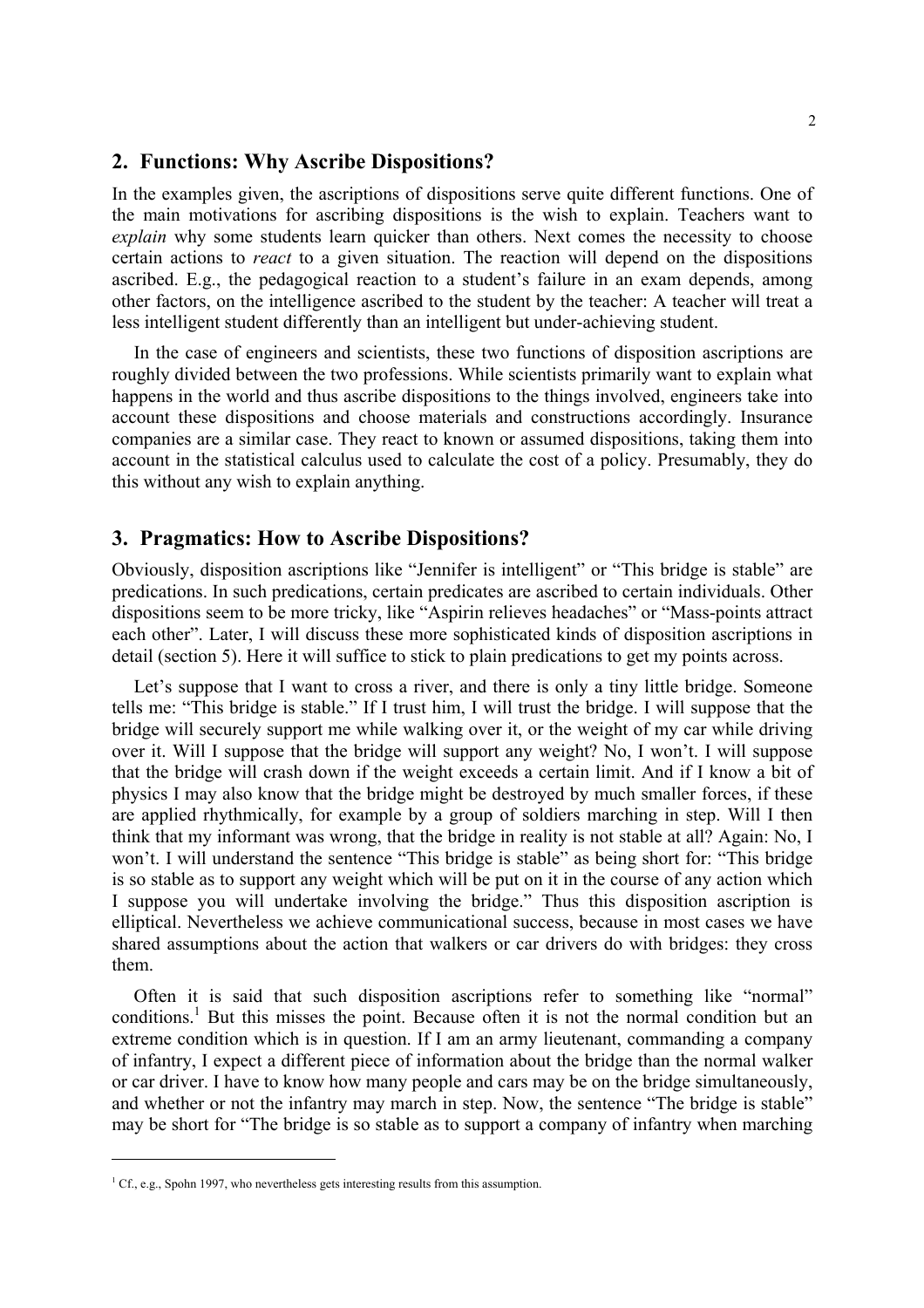## **2. Functions: Why Ascribe Dispositions?**

In the examples given, the ascriptions of dispositions serve quite different functions. One of the main motivations for ascribing dispositions is the wish to explain. Teachers want to *explain* why some students learn quicker than others. Next comes the necessity to choose certain actions to *react* to a given situation. The reaction will depend on the dispositions ascribed. E.g., the pedagogical reaction to a student's failure in an exam depends, among other factors, on the intelligence ascribed to the student by the teacher: A teacher will treat a less intelligent student differently than an intelligent but under-achieving student.

In the case of engineers and scientists, these two functions of disposition ascriptions are roughly divided between the two professions. While scientists primarily want to explain what happens in the world and thus ascribe dispositions to the things involved, engineers take into account these dispositions and choose materials and constructions accordingly. Insurance companies are a similar case. They react to known or assumed dispositions, taking them into account in the statistical calculus used to calculate the cost of a policy. Presumably, they do this without any wish to explain anything.

## **3. Pragmatics: How to Ascribe Dispositions?**

Obviously, disposition ascriptions like "Jennifer is intelligent" or "This bridge is stable" are predications. In such predications, certain predicates are ascribed to certain individuals. Other dispositions seem to be more tricky, like "Aspirin relieves headaches" or "Mass-points attract each other". Later, I will discuss these more sophisticated kinds of disposition ascriptions in detail (section 5). Here it will suffice to stick to plain predications to get my points across.

Let's suppose that I want to cross a river, and there is only a tiny little bridge. Someone tells me: "This bridge is stable." If I trust him, I will trust the bridge. I will suppose that the bridge will securely support me while walking over it, or the weight of my car while driving over it. Will I suppose that the bridge will support any weight? No, I won't. I will suppose that the bridge will crash down if the weight exceeds a certain limit. And if I know a bit of physics I may also know that the bridge might be destroyed by much smaller forces, if these are applied rhythmically, for example by a group of soldiers marching in step. Will I then think that my informant was wrong, that the bridge in reality is not stable at all? Again: No, I won't. I will understand the sentence "This bridge is stable" as being short for: "This bridge is so stable as to support any weight which will be put on it in the course of any action which I suppose you will undertake involving the bridge." Thus this disposition ascription is elliptical. Nevertheless we achieve communicational success, because in most cases we have shared assumptions about the action that walkers or car drivers do with bridges: they cross them.

Often it is said that such disposition ascriptions refer to something like "normal" conditions.<sup>1</sup> But this misses the point. Because often it is not the normal condition but an extreme condition which is in question. If I am an army lieutenant, commanding a company of infantry, I expect a different piece of information about the bridge than the normal walker or car driver. I have to know how many people and cars may be on the bridge simultaneously, and whether or not the infantry may march in step. Now, the sentence "The bridge is stable" may be short for "The bridge is so stable as to support a company of infantry when marching

<sup>&</sup>lt;sup>1</sup> Cf., e.g., Spohn 1997, who nevertheless gets interesting results from this assumption.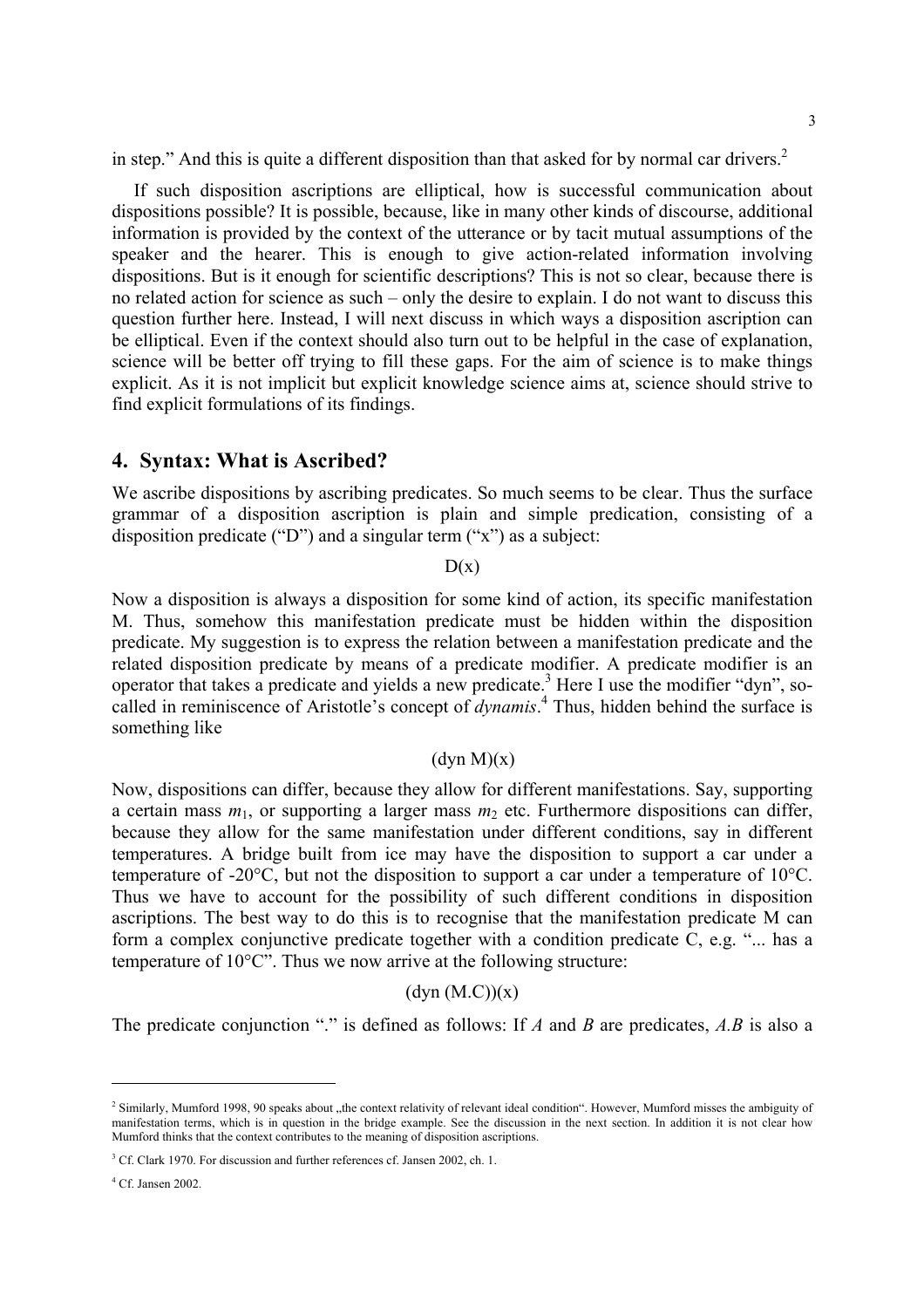in step." And this is quite a different disposition than that asked for by normal car drivers.<sup>2</sup>

If such disposition ascriptions are elliptical, how is successful communication about dispositions possible? It is possible, because, like in many other kinds of discourse, additional information is provided by the context of the utterance or by tacit mutual assumptions of the speaker and the hearer. This is enough to give action-related information involving dispositions. But is it enough for scientific descriptions? This is not so clear, because there is no related action for science as such – only the desire to explain. I do not want to discuss this question further here. Instead, I will next discuss in which ways a disposition ascription can be elliptical. Even if the context should also turn out to be helpful in the case of explanation, science will be better off trying to fill these gaps. For the aim of science is to make things explicit. As it is not implicit but explicit knowledge science aims at, science should strive to find explicit formulations of its findings.

## **4. Syntax: What is Ascribed?**

We ascribe dispositions by ascribing predicates. So much seems to be clear. Thus the surface grammar of a disposition ascription is plain and simple predication, consisting of a disposition predicate ("D") and a singular term ("x") as a subject:

#### $D(x)$

Now a disposition is always a disposition for some kind of action, its specific manifestation M. Thus, somehow this manifestation predicate must be hidden within the disposition predicate. My suggestion is to express the relation between a manifestation predicate and the related disposition predicate by means of a predicate modifier. A predicate modifier is an operator that takes a predicate and yields a new predicate.<sup>3</sup> Here I use the modifier "dyn", socalled in reminiscence of Aristotle's concept of *dynamis*. 4 Thus, hidden behind the surface is something like

#### $(\text{dyn }M)(x)$

Now, dispositions can differ, because they allow for different manifestations. Say, supporting a certain mass  $m_1$ , or supporting a larger mass  $m_2$  etc. Furthermore dispositions can differ, because they allow for the same manifestation under different conditions, say in different temperatures. A bridge built from ice may have the disposition to support a car under a temperature of -20°C, but not the disposition to support a car under a temperature of 10°C. Thus we have to account for the possibility of such different conditions in disposition ascriptions. The best way to do this is to recognise that the manifestation predicate M can form a complex conjunctive predicate together with a condition predicate C, e.g. "... has a temperature of 10°C". Thus we now arrive at the following structure:

## $(dyn (M.C))(x)$

The predicate conjunction "." is defined as follows: If *A* and *B* are predicates, *A.B* is also a

<sup>&</sup>lt;sup>2</sup> Similarly, Mumford 1998, 90 speaks about "the context relativity of relevant ideal condition". However, Mumford misses the ambiguity of manifestation terms, which is in question in the bridge example. See the discussion in the next section. In addition it is not clear how Mumford thinks that the context contributes to the meaning of disposition ascriptions.

<sup>&</sup>lt;sup>3</sup> Cf. Clark 1970. For discussion and further references cf. Jansen 2002, ch. 1.

<sup>4</sup> Cf. Jansen 2002.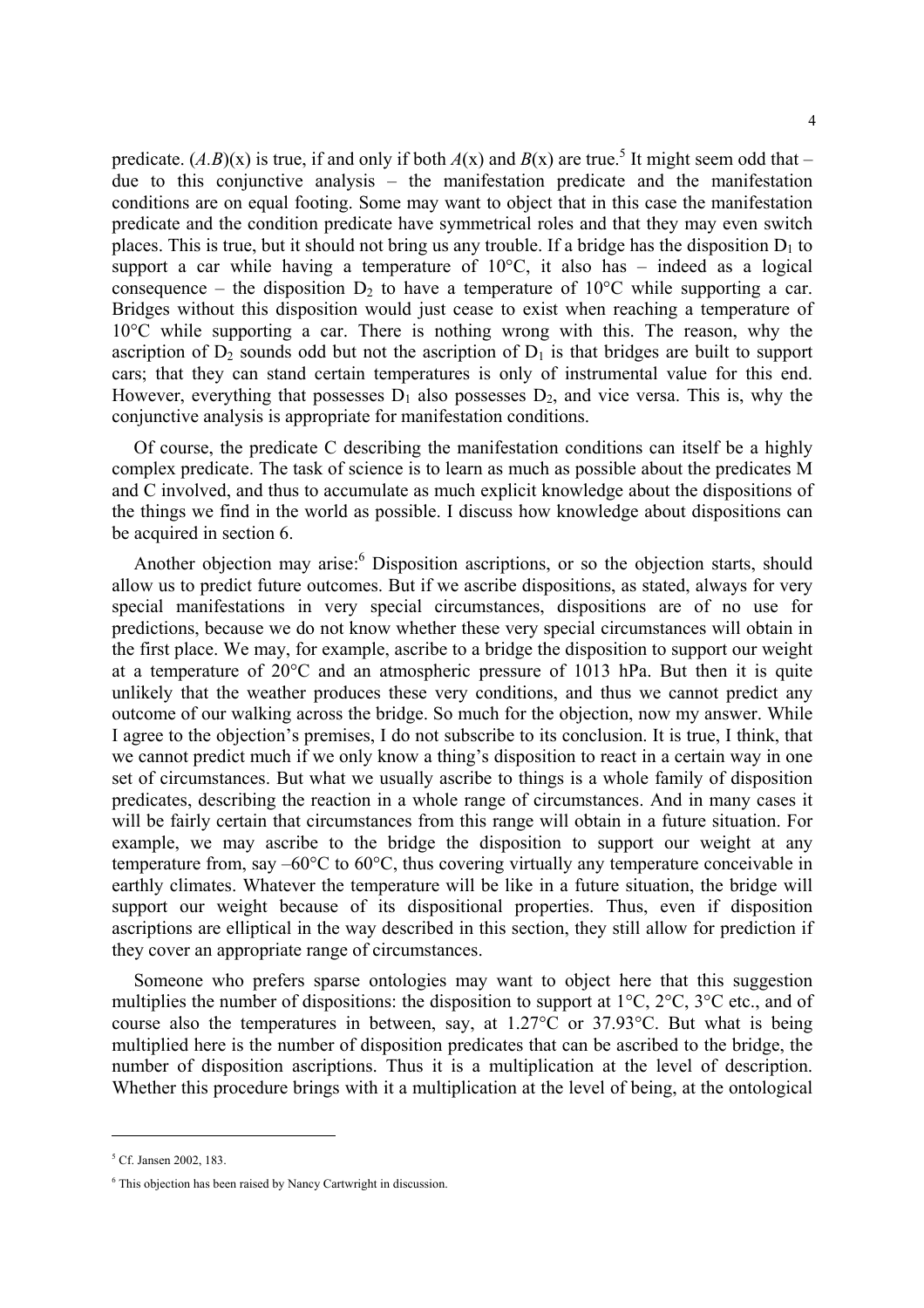predicate.  $(A.B)(x)$  is true, if and only if both  $A(x)$  and  $B(x)$  are true.<sup>5</sup> It might seem odd that – due to this conjunctive analysis – the manifestation predicate and the manifestation conditions are on equal footing. Some may want to object that in this case the manifestation predicate and the condition predicate have symmetrical roles and that they may even switch places. This is true, but it should not bring us any trouble. If a bridge has the disposition  $D_1$  to support a car while having a temperature of  $10^{\circ}$ C, it also has – indeed as a logical consequence – the disposition  $D_2$  to have a temperature of 10°C while supporting a car. Bridges without this disposition would just cease to exist when reaching a temperature of 10°C while supporting a car. There is nothing wrong with this. The reason, why the ascription of  $D_2$  sounds odd but not the ascription of  $D_1$  is that bridges are built to support cars; that they can stand certain temperatures is only of instrumental value for this end. However, everything that possesses  $D_1$  also possesses  $D_2$ , and vice versa. This is, why the conjunctive analysis is appropriate for manifestation conditions.

Of course, the predicate C describing the manifestation conditions can itself be a highly complex predicate. The task of science is to learn as much as possible about the predicates M and C involved, and thus to accumulate as much explicit knowledge about the dispositions of the things we find in the world as possible. I discuss how knowledge about dispositions can be acquired in section 6.

Another objection may arise: <sup>6</sup> Disposition ascriptions, or so the objection starts, should allow us to predict future outcomes. But if we ascribe dispositions, as stated, always for very special manifestations in very special circumstances, dispositions are of no use for predictions, because we do not know whether these very special circumstances will obtain in the first place. We may, for example, ascribe to a bridge the disposition to support our weight at a temperature of 20°C and an atmospheric pressure of 1013 hPa. But then it is quite unlikely that the weather produces these very conditions, and thus we cannot predict any outcome of our walking across the bridge. So much for the objection, now my answer. While I agree to the objection's premises, I do not subscribe to its conclusion. It is true, I think, that we cannot predict much if we only know a thing's disposition to react in a certain way in one set of circumstances. But what we usually ascribe to things is a whole family of disposition predicates, describing the reaction in a whole range of circumstances. And in many cases it will be fairly certain that circumstances from this range will obtain in a future situation. For example, we may ascribe to the bridge the disposition to support our weight at any temperature from, say –60°C to 60°C, thus covering virtually any temperature conceivable in earthly climates. Whatever the temperature will be like in a future situation, the bridge will support our weight because of its dispositional properties. Thus, even if disposition ascriptions are elliptical in the way described in this section, they still allow for prediction if they cover an appropriate range of circumstances.

Someone who prefers sparse ontologies may want to object here that this suggestion multiplies the number of dispositions: the disposition to support at 1°C, 2°C, 3°C etc., and of course also the temperatures in between, say, at 1.27°C or 37.93°C. But what is being multiplied here is the number of disposition predicates that can be ascribed to the bridge, the number of disposition ascriptions. Thus it is a multiplication at the level of description. Whether this procedure brings with it a multiplication at the level of being, at the ontological

<sup>&</sup>lt;sup>5</sup> Cf. Jansen 2002, 183.

<sup>&</sup>lt;sup>6</sup> This objection has been raised by Nancy Cartwright in discussion.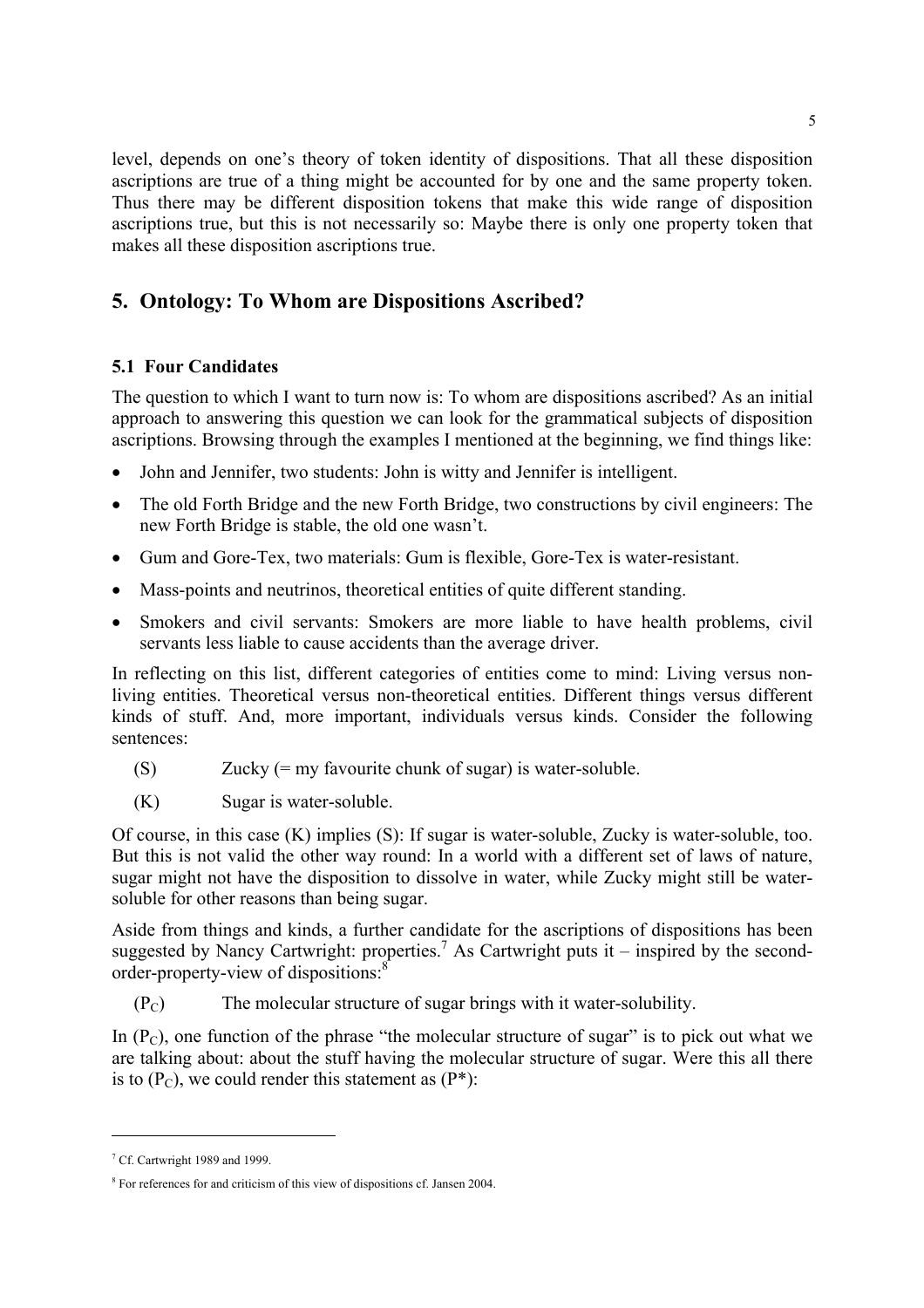level, depends on one's theory of token identity of dispositions. That all these disposition ascriptions are true of a thing might be accounted for by one and the same property token. Thus there may be different disposition tokens that make this wide range of disposition ascriptions true, but this is not necessarily so: Maybe there is only one property token that makes all these disposition ascriptions true.

## **5. Ontology: To Whom are Dispositions Ascribed?**

## **5.1 Four Candidates**

The question to which I want to turn now is: To whom are dispositions ascribed? As an initial approach to answering this question we can look for the grammatical subjects of disposition ascriptions. Browsing through the examples I mentioned at the beginning, we find things like:

- John and Jennifer, two students: John is witty and Jennifer is intelligent.
- The old Forth Bridge and the new Forth Bridge, two constructions by civil engineers: The new Forth Bridge is stable, the old one wasn't.
- Gum and Gore-Tex, two materials: Gum is flexible, Gore-Tex is water-resistant.
- Mass-points and neutrinos, theoretical entities of quite different standing.
- Smokers and civil servants: Smokers are more liable to have health problems, civil servants less liable to cause accidents than the average driver.

In reflecting on this list, different categories of entities come to mind: Living versus nonliving entities. Theoretical versus non-theoretical entities. Different things versus different kinds of stuff. And, more important, individuals versus kinds. Consider the following sentences:

- (S) Zucky (= my favourite chunk of sugar) is water-soluble.
- (K) Sugar is water-soluble.

Of course, in this case (K) implies (S): If sugar is water-soluble, Zucky is water-soluble, too. But this is not valid the other way round: In a world with a different set of laws of nature, sugar might not have the disposition to dissolve in water, while Zucky might still be watersoluble for other reasons than being sugar.

Aside from things and kinds, a further candidate for the ascriptions of dispositions has been suggested by Nancy Cartwright: properties.<sup>7</sup> As Cartwright puts it – inspired by the secondorder-property-view of dispositions:8

(PC) The molecular structure of sugar brings with it water-solubility.

In  $(P_C)$ , one function of the phrase "the molecular structure of sugar" is to pick out what we are talking about: about the stuff having the molecular structure of sugar. Were this all there is to  $(P_C)$ , we could render this statement as  $(P^*)$ :

<sup>&</sup>lt;sup>7</sup> Cf. Cartwright 1989 and 1999.

<sup>&</sup>lt;sup>8</sup> For references for and criticism of this view of dispositions cf. Jansen 2004.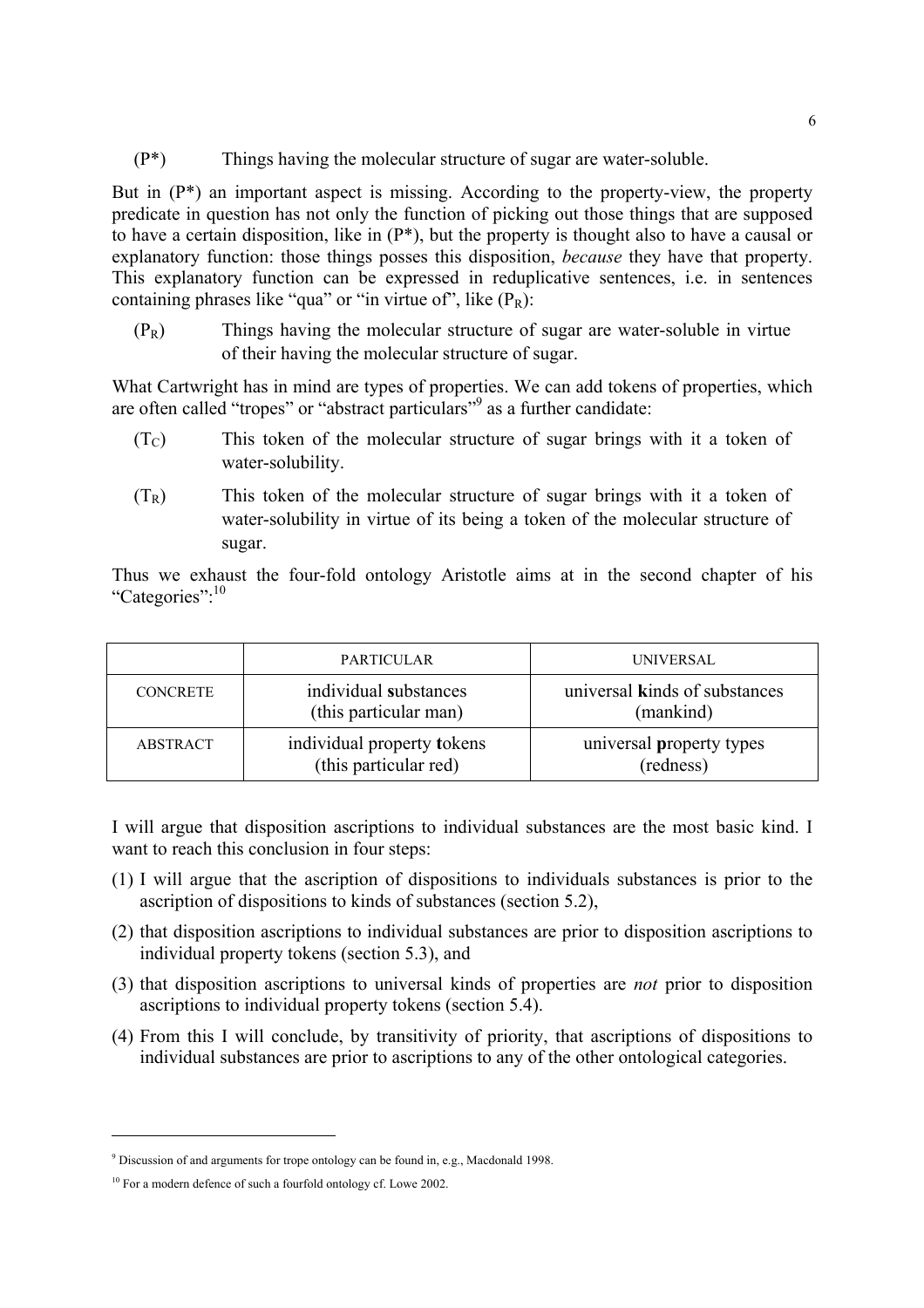(P\*) Things having the molecular structure of sugar are water-soluble.

But in  $(P^*)$  an important aspect is missing. According to the property-view, the property predicate in question has not only the function of picking out those things that are supposed to have a certain disposition, like in  $(P^*)$ , but the property is thought also to have a causal or explanatory function: those things posses this disposition, *because* they have that property. This explanatory function can be expressed in reduplicative sentences, i.e. in sentences containing phrases like "qua" or "in virtue of", like  $(P_R)$ :

 $(P_R)$  Things having the molecular structure of sugar are water-soluble in virtue of their having the molecular structure of sugar.

What Cartwright has in mind are types of properties. We can add tokens of properties, which are often called "tropes" or "abstract particulars"<sup>9</sup> as a further candidate:

- $(T<sub>C</sub>)$  This token of the molecular structure of sugar brings with it a token of water-solubility.
- $(T_R)$  This token of the molecular structure of sugar brings with it a token of water-solubility in virtue of its being a token of the molecular structure of sugar.

Thus we exhaust the four-fold ontology Aristotle aims at in the second chapter of his "Categories":<sup>10</sup>

|                 | PARTICULAR                                          | UNIVERSAL                                  |
|-----------------|-----------------------------------------------------|--------------------------------------------|
| <b>CONCRETE</b> | individual substances<br>(this particular man)      | universal kinds of substances<br>(mankind) |
| <b>ABSTRACT</b> | individual property tokens<br>(this particular red) | universal property types<br>(redness)      |

I will argue that disposition ascriptions to individual substances are the most basic kind. I want to reach this conclusion in four steps:

- (1) I will argue that the ascription of dispositions to individuals substances is prior to the ascription of dispositions to kinds of substances (section 5.2),
- (2) that disposition ascriptions to individual substances are prior to disposition ascriptions to individual property tokens (section 5.3), and
- (3) that disposition ascriptions to universal kinds of properties are *not* prior to disposition ascriptions to individual property tokens (section 5.4).
- (4) From this I will conclude, by transitivity of priority, that ascriptions of dispositions to individual substances are prior to ascriptions to any of the other ontological categories.

<sup>&</sup>lt;sup>9</sup> Discussion of and arguments for trope ontology can be found in, e.g., Macdonald 1998.

 $10$  For a modern defence of such a fourfold ontology cf. Lowe 2002.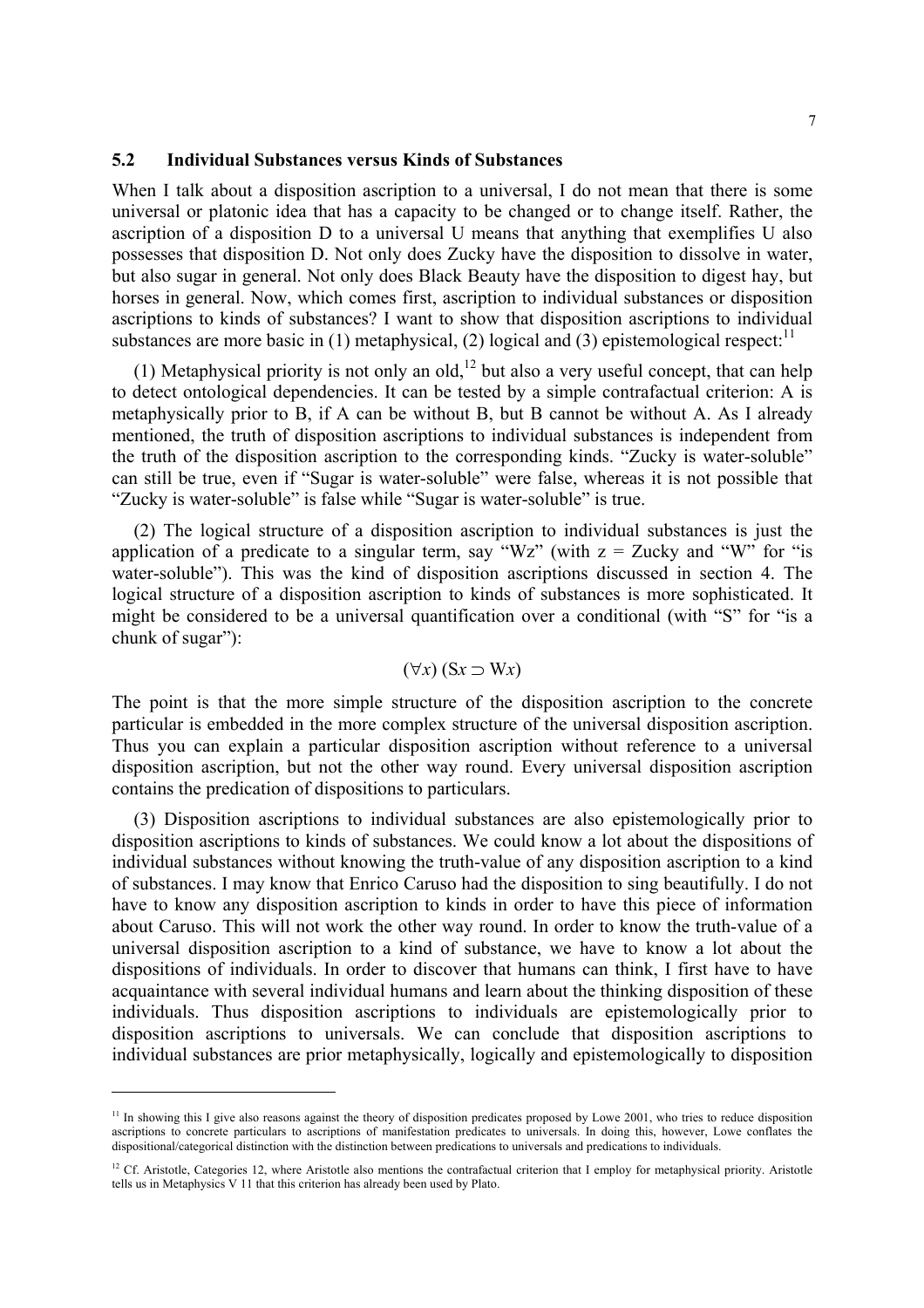#### **5.2 Individual Substances versus Kinds of Substances**

When I talk about a disposition ascription to a universal, I do not mean that there is some universal or platonic idea that has a capacity to be changed or to change itself. Rather, the ascription of a disposition D to a universal U means that anything that exemplifies U also possesses that disposition D. Not only does Zucky have the disposition to dissolve in water, but also sugar in general. Not only does Black Beauty have the disposition to digest hay, but horses in general. Now, which comes first, ascription to individual substances or disposition ascriptions to kinds of substances? I want to show that disposition ascriptions to individual substances are more basic in (1) metaphysical, (2) logical and (3) epistemological respect:<sup>11</sup>

(1) Metaphysical priority is not only an old,<sup>12</sup> but also a very useful concept, that can help to detect ontological dependencies. It can be tested by a simple contrafactual criterion: A is metaphysically prior to B, if A can be without B, but B cannot be without A. As I already mentioned, the truth of disposition ascriptions to individual substances is independent from the truth of the disposition ascription to the corresponding kinds. "Zucky is water-soluble" can still be true, even if "Sugar is water-soluble" were false, whereas it is not possible that "Zucky is water-soluble" is false while "Sugar is water-soluble" is true.

(2) The logical structure of a disposition ascription to individual substances is just the application of a predicate to a singular term, say "Wz" (with  $z = Zucky$  and "W" for "is water-soluble"). This was the kind of disposition ascriptions discussed in section 4. The logical structure of a disposition ascription to kinds of substances is more sophisticated. It might be considered to be a universal quantification over a conditional (with "S" for "is a chunk of sugar"):

## (∀*x*) (S*x* ⊃ W*x*)

The point is that the more simple structure of the disposition ascription to the concrete particular is embedded in the more complex structure of the universal disposition ascription. Thus you can explain a particular disposition ascription without reference to a universal disposition ascription, but not the other way round. Every universal disposition ascription contains the predication of dispositions to particulars.

(3) Disposition ascriptions to individual substances are also epistemologically prior to disposition ascriptions to kinds of substances. We could know a lot about the dispositions of individual substances without knowing the truth-value of any disposition ascription to a kind of substances. I may know that Enrico Caruso had the disposition to sing beautifully. I do not have to know any disposition ascription to kinds in order to have this piece of information about Caruso. This will not work the other way round. In order to know the truth-value of a universal disposition ascription to a kind of substance, we have to know a lot about the dispositions of individuals. In order to discover that humans can think, I first have to have acquaintance with several individual humans and learn about the thinking disposition of these individuals. Thus disposition ascriptions to individuals are epistemologically prior to disposition ascriptions to universals. We can conclude that disposition ascriptions to individual substances are prior metaphysically, logically and epistemologically to disposition

 $<sup>11</sup>$  In showing this I give also reasons against the theory of disposition predicates proposed by Lowe 2001, who tries to reduce disposition</sup> ascriptions to concrete particulars to ascriptions of manifestation predicates to universals. In doing this, however, Lowe conflates the dispositional/categorical distinction with the distinction between predications to universals and predications to individuals.

 $12$  Cf. Aristotle. Categories 12, where Aristotle also mentions the contrafactual criterion that I employ for metaphysical priority. Aristotle tells us in Metaphysics V 11 that this criterion has already been used by Plato.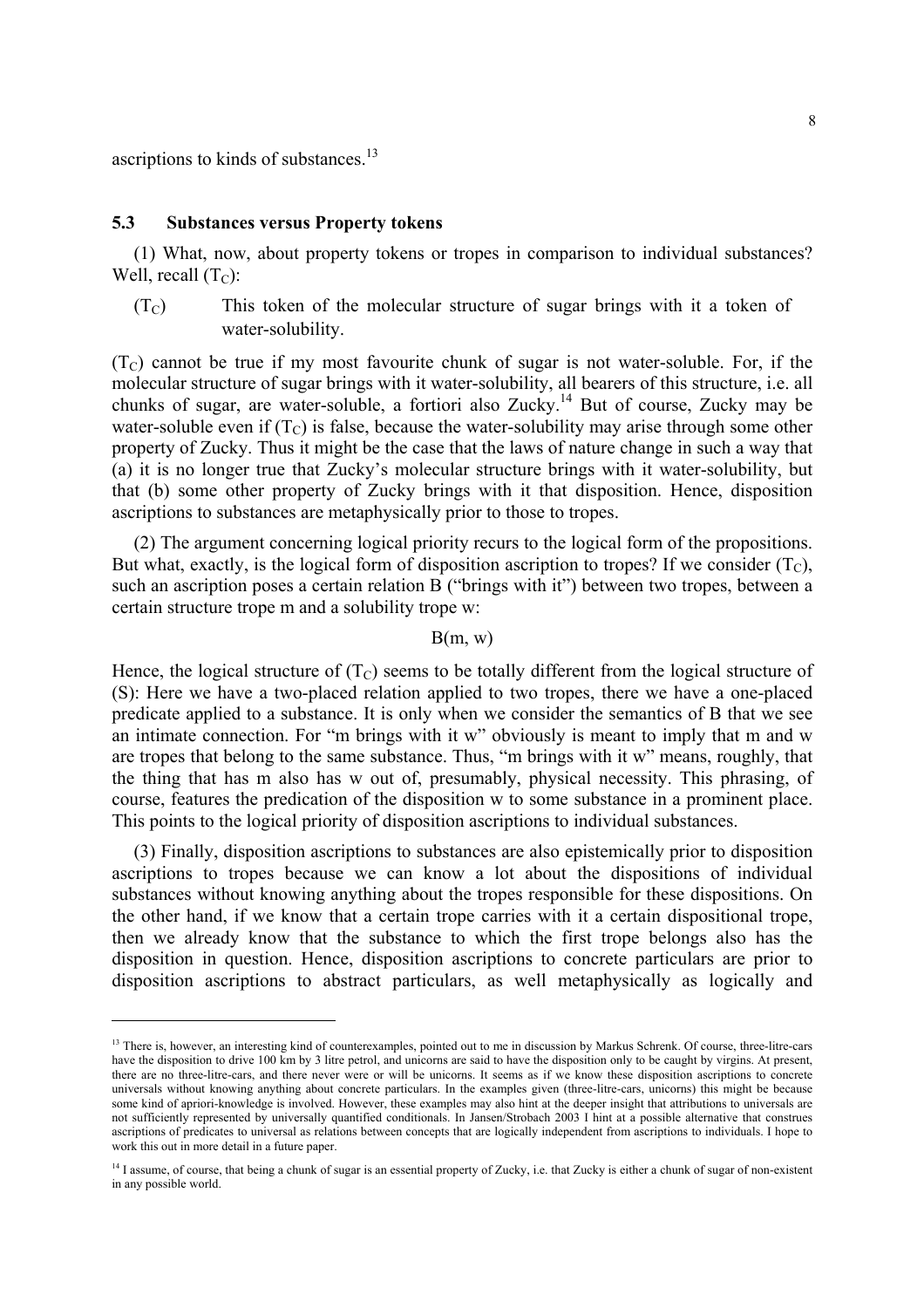ascriptions to kinds of substances.<sup>13</sup>

 $\overline{a}$ 

#### **5.3 Substances versus Property tokens**

(1) What, now, about property tokens or tropes in comparison to individual substances? Well, recall  $(T_C)$ :

 $(T<sub>C</sub>)$  This token of the molecular structure of sugar brings with it a token of water-solubility.

 $(T<sub>C</sub>)$  cannot be true if my most favourite chunk of sugar is not water-soluble. For, if the molecular structure of sugar brings with it water-solubility, all bearers of this structure, i.e. all chunks of sugar, are water-soluble, a fortiori also Zucky.14 But of course, Zucky may be water-soluble even if  $(T_C)$  is false, because the water-solubility may arise through some other property of Zucky. Thus it might be the case that the laws of nature change in such a way that (a) it is no longer true that Zucky's molecular structure brings with it water-solubility, but that (b) some other property of Zucky brings with it that disposition. Hence, disposition ascriptions to substances are metaphysically prior to those to tropes.

(2) The argument concerning logical priority recurs to the logical form of the propositions. But what, exactly, is the logical form of disposition ascription to tropes? If we consider  $(T<sub>C</sub>)$ , such an ascription poses a certain relation B ("brings with it") between two tropes, between a certain structure trope m and a solubility trope w:

#### $B(m, w)$

Hence, the logical structure of  $(T_C)$  seems to be totally different from the logical structure of (S): Here we have a two-placed relation applied to two tropes, there we have a one-placed predicate applied to a substance. It is only when we consider the semantics of B that we see an intimate connection. For "m brings with it w" obviously is meant to imply that m and w are tropes that belong to the same substance. Thus, "m brings with it w" means, roughly, that the thing that has m also has w out of, presumably, physical necessity. This phrasing, of course, features the predication of the disposition w to some substance in a prominent place. This points to the logical priority of disposition ascriptions to individual substances.

(3) Finally, disposition ascriptions to substances are also epistemically prior to disposition ascriptions to tropes because we can know a lot about the dispositions of individual substances without knowing anything about the tropes responsible for these dispositions. On the other hand, if we know that a certain trope carries with it a certain dispositional trope, then we already know that the substance to which the first trope belongs also has the disposition in question. Hence, disposition ascriptions to concrete particulars are prior to disposition ascriptions to abstract particulars, as well metaphysically as logically and

<sup>&</sup>lt;sup>13</sup> There is, however, an interesting kind of counterexamples, pointed out to me in discussion by Markus Schrenk. Of course, three-litre-cars have the disposition to drive 100 km by 3 litre petrol, and unicorns are said to have the disposition only to be caught by virgins. At present, there are no three-litre-cars, and there never were or will be unicorns. It seems as if we know these disposition ascriptions to concrete universals without knowing anything about concrete particulars. In the examples given (three-litre-cars, unicorns) this might be because some kind of apriori-knowledge is involved. However, these examples may also hint at the deeper insight that attributions to universals are not sufficiently represented by universally quantified conditionals. In Jansen/Strobach 2003 I hint at a possible alternative that construes ascriptions of predicates to universal as relations between concepts that are logically independent from ascriptions to individuals. I hope to work this out in more detail in a future paper.

<sup>&</sup>lt;sup>14</sup> I assume, of course, that being a chunk of sugar is an essential property of Zucky, i.e. that Zucky is either a chunk of sugar of non-existent in any possible world.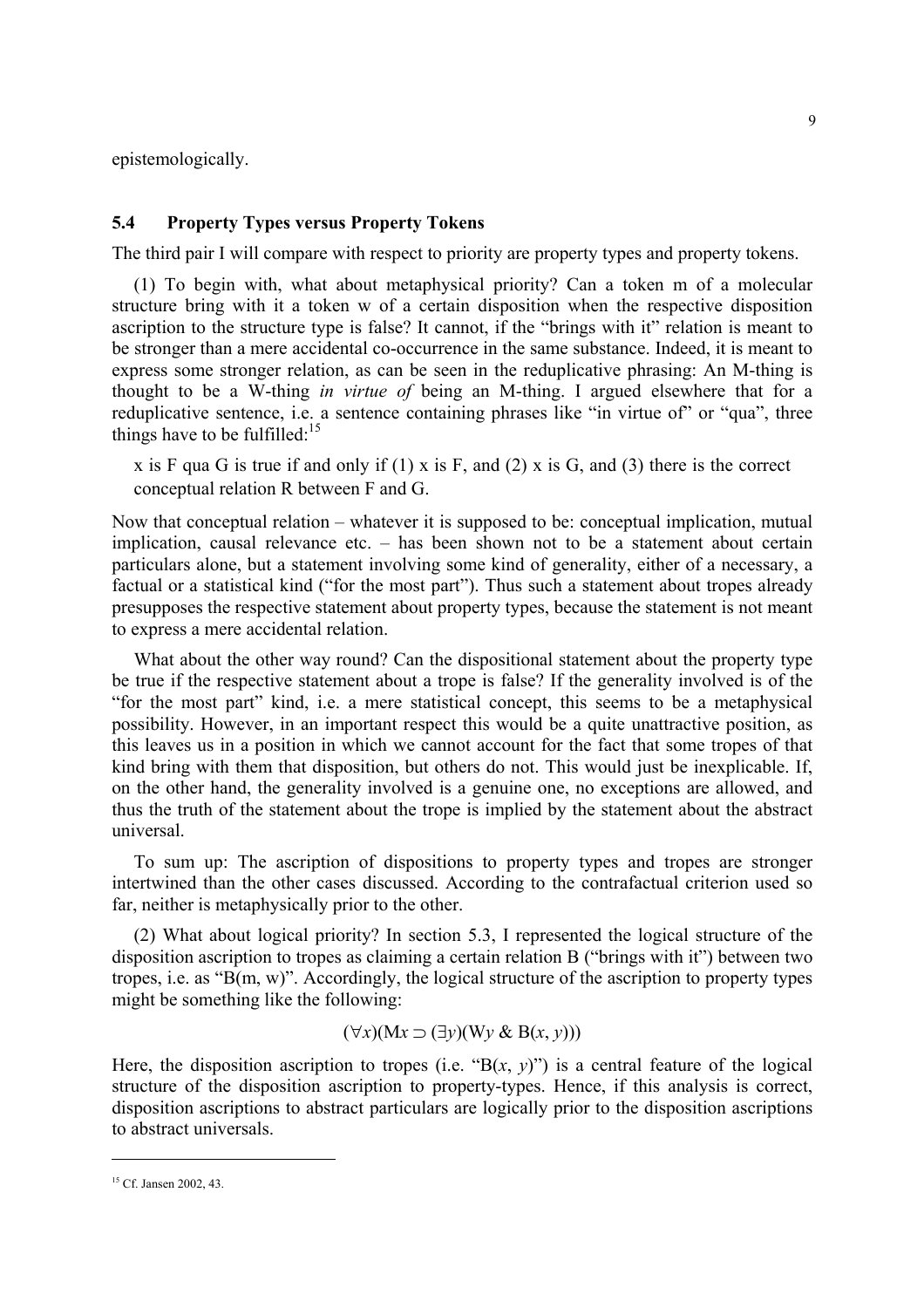epistemologically.

#### **5.4 Property Types versus Property Tokens**

The third pair I will compare with respect to priority are property types and property tokens.

(1) To begin with, what about metaphysical priority? Can a token m of a molecular structure bring with it a token w of a certain disposition when the respective disposition ascription to the structure type is false? It cannot, if the "brings with it" relation is meant to be stronger than a mere accidental co-occurrence in the same substance. Indeed, it is meant to express some stronger relation, as can be seen in the reduplicative phrasing: An M-thing is thought to be a W-thing *in virtue of* being an M-thing. I argued elsewhere that for a reduplicative sentence, i.e. a sentence containing phrases like "in virtue of" or "qua", three things have to be fulfilled: $15$ 

x is F qua G is true if and only if  $(1)$  x is F, and  $(2)$  x is G, and  $(3)$  there is the correct conceptual relation R between F and G.

Now that conceptual relation – whatever it is supposed to be: conceptual implication, mutual implication, causal relevance etc. – has been shown not to be a statement about certain particulars alone, but a statement involving some kind of generality, either of a necessary, a factual or a statistical kind ("for the most part"). Thus such a statement about tropes already presupposes the respective statement about property types, because the statement is not meant to express a mere accidental relation.

What about the other way round? Can the dispositional statement about the property type be true if the respective statement about a trope is false? If the generality involved is of the "for the most part" kind, i.e. a mere statistical concept, this seems to be a metaphysical possibility. However, in an important respect this would be a quite unattractive position, as this leaves us in a position in which we cannot account for the fact that some tropes of that kind bring with them that disposition, but others do not. This would just be inexplicable. If, on the other hand, the generality involved is a genuine one, no exceptions are allowed, and thus the truth of the statement about the trope is implied by the statement about the abstract universal.

To sum up: The ascription of dispositions to property types and tropes are stronger intertwined than the other cases discussed. According to the contrafactual criterion used so far, neither is metaphysically prior to the other.

(2) What about logical priority? In section 5.3, I represented the logical structure of the disposition ascription to tropes as claiming a certain relation B ("brings with it") between two tropes, i.e. as "B(m, w)". Accordingly, the logical structure of the ascription to property types might be something like the following:

$$
(\forall x)(\mathbf{M}x \supset (\exists y)(\mathbf{W}y \& \mathbf{B}(x, y)))
$$

Here, the disposition ascription to tropes (i.e. " $B(x, y)$ ") is a central feature of the logical structure of the disposition ascription to property-types. Hence, if this analysis is correct, disposition ascriptions to abstract particulars are logically prior to the disposition ascriptions to abstract universals.

<sup>15</sup> Cf. Jansen 2002, 43.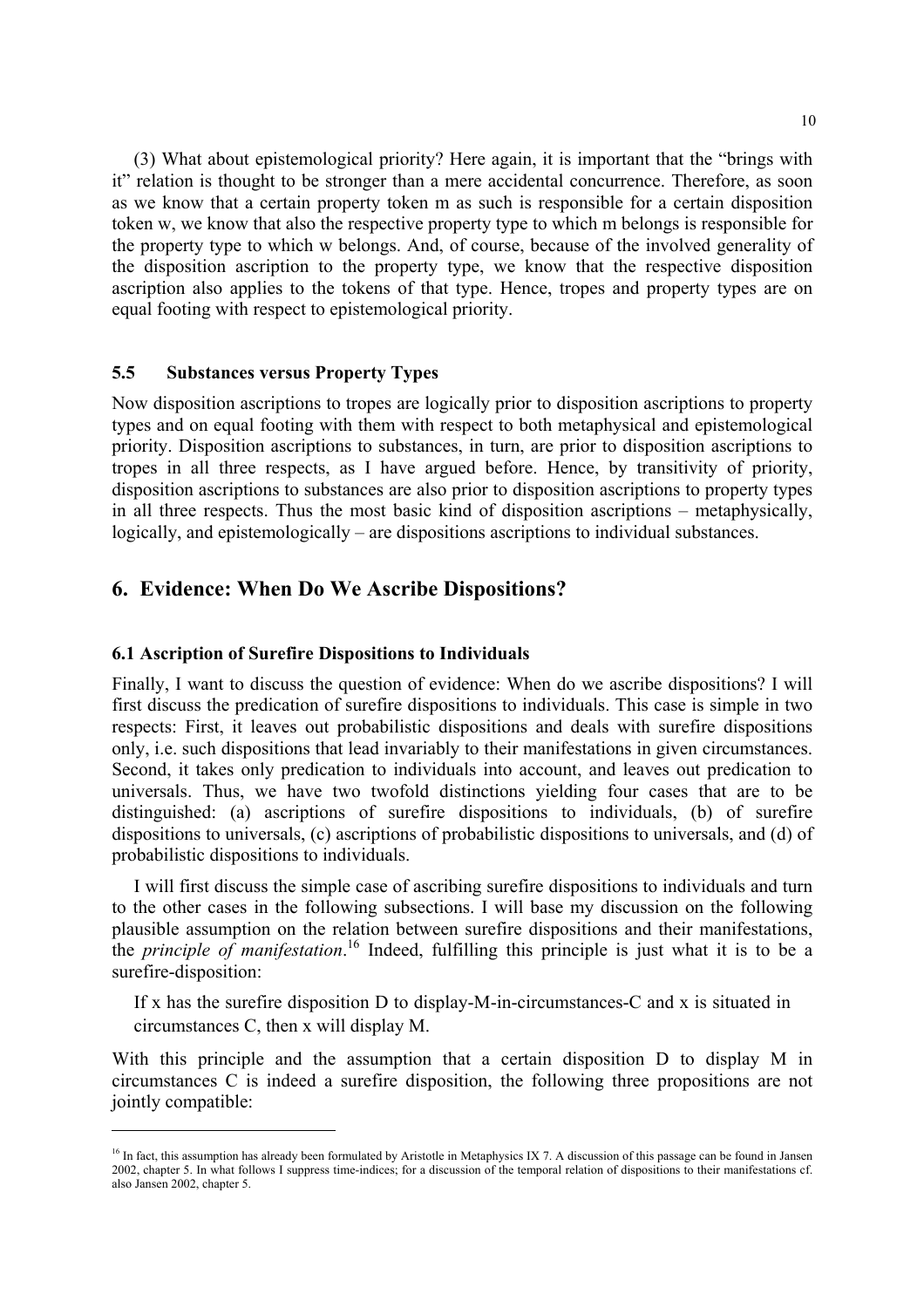(3) What about epistemological priority? Here again, it is important that the "brings with it" relation is thought to be stronger than a mere accidental concurrence. Therefore, as soon as we know that a certain property token m as such is responsible for a certain disposition token w, we know that also the respective property type to which m belongs is responsible for the property type to which w belongs. And, of course, because of the involved generality of the disposition ascription to the property type, we know that the respective disposition ascription also applies to the tokens of that type. Hence, tropes and property types are on equal footing with respect to epistemological priority.

## **5.5 Substances versus Property Types**

Now disposition ascriptions to tropes are logically prior to disposition ascriptions to property types and on equal footing with them with respect to both metaphysical and epistemological priority. Disposition ascriptions to substances, in turn, are prior to disposition ascriptions to tropes in all three respects, as I have argued before. Hence, by transitivity of priority, disposition ascriptions to substances are also prior to disposition ascriptions to property types in all three respects. Thus the most basic kind of disposition ascriptions – metaphysically, logically, and epistemologically – are dispositions ascriptions to individual substances.

## **6. Evidence: When Do We Ascribe Dispositions?**

#### **6.1 Ascription of Surefire Dispositions to Individuals**

 $\overline{a}$ 

Finally, I want to discuss the question of evidence: When do we ascribe dispositions? I will first discuss the predication of surefire dispositions to individuals. This case is simple in two respects: First, it leaves out probabilistic dispositions and deals with surefire dispositions only, i.e. such dispositions that lead invariably to their manifestations in given circumstances. Second, it takes only predication to individuals into account, and leaves out predication to universals. Thus, we have two twofold distinctions yielding four cases that are to be distinguished: (a) ascriptions of surefire dispositions to individuals, (b) of surefire dispositions to universals, (c) ascriptions of probabilistic dispositions to universals, and (d) of probabilistic dispositions to individuals.

I will first discuss the simple case of ascribing surefire dispositions to individuals and turn to the other cases in the following subsections. I will base my discussion on the following plausible assumption on the relation between surefire dispositions and their manifestations, the *principle of manifestation*.<sup>16</sup> Indeed, fulfilling this principle is just what it is to be a surefire-disposition:

If x has the surefire disposition D to display-M-in-circumstances-C and x is situated in circumstances C, then x will display M.

With this principle and the assumption that a certain disposition D to display M in circumstances C is indeed a surefire disposition, the following three propositions are not jointly compatible:

<sup>&</sup>lt;sup>16</sup> In fact, this assumption has already been formulated by Aristotle in Metaphysics IX 7. A discussion of this passage can be found in Jansen 2002, chapter 5. In what follows I suppress time-indices; for a discussion of the temporal relation of dispositions to their manifestations cf. also Jansen 2002, chapter 5.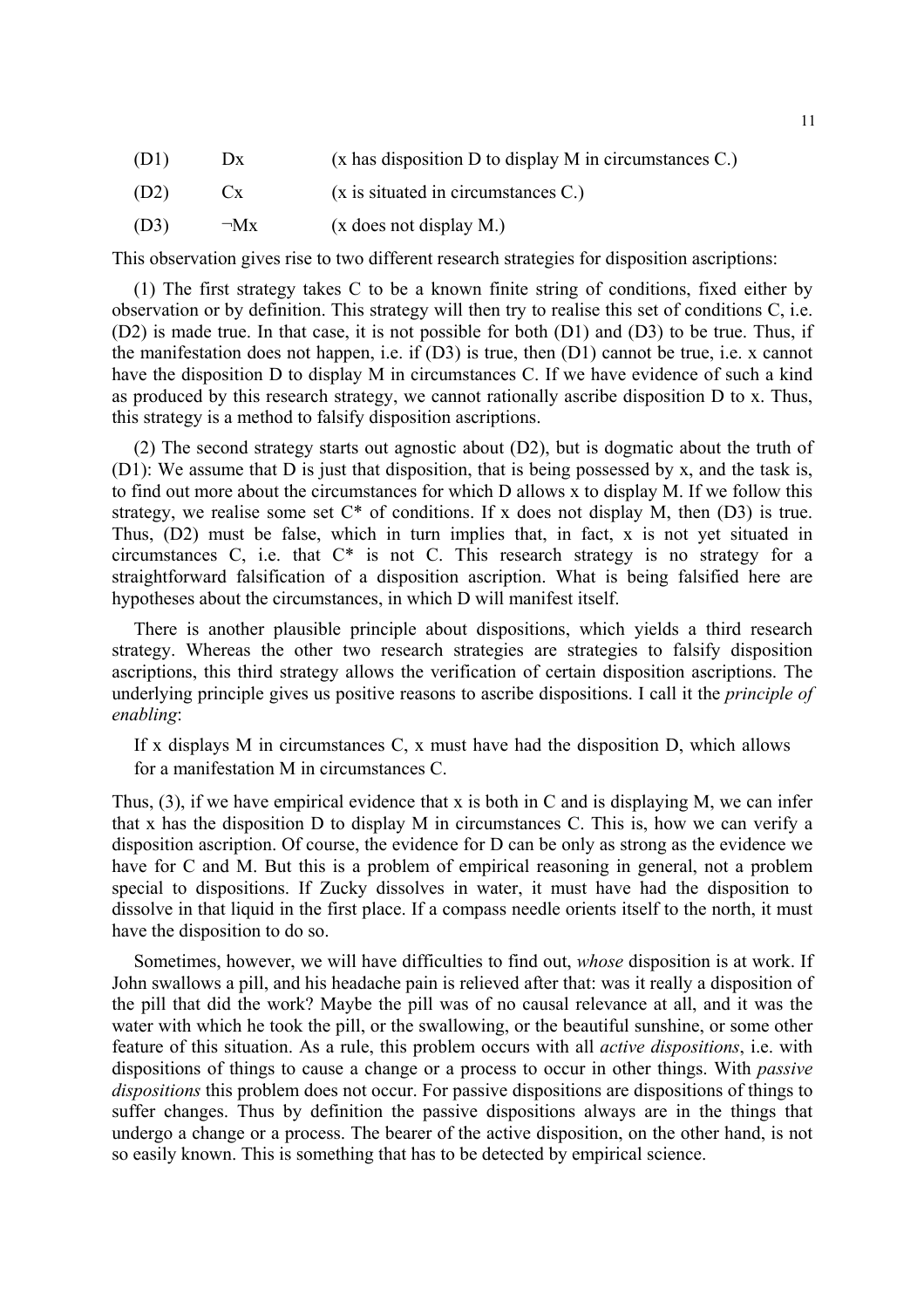| (D1)<br>$D_{\rm X}$ |  |  |  | $(x$ has disposition D to display M in circumstances C.) |
|---------------------|--|--|--|----------------------------------------------------------|
|---------------------|--|--|--|----------------------------------------------------------|

- (D2) Cx (x is situated in circumstances C.)
- (D3)  $\neg Mx$  (x does not display M.)

This observation gives rise to two different research strategies for disposition ascriptions:

(1) The first strategy takes C to be a known finite string of conditions, fixed either by observation or by definition. This strategy will then try to realise this set of conditions C, i.e. (D2) is made true. In that case, it is not possible for both (D1) and (D3) to be true. Thus, if the manifestation does not happen, i.e. if (D3) is true, then (D1) cannot be true, i.e. x cannot have the disposition D to display M in circumstances C. If we have evidence of such a kind as produced by this research strategy, we cannot rationally ascribe disposition D to x. Thus, this strategy is a method to falsify disposition ascriptions.

(2) The second strategy starts out agnostic about (D2), but is dogmatic about the truth of (D1): We assume that D is just that disposition, that is being possessed by x, and the task is, to find out more about the circumstances for which D allows x to display M. If we follow this strategy, we realise some set  $C^*$  of conditions. If x does not display M, then  $(D3)$  is true. Thus, (D2) must be false, which in turn implies that, in fact, x is not yet situated in circumstances C, i.e. that C\* is not C. This research strategy is no strategy for a straightforward falsification of a disposition ascription. What is being falsified here are hypotheses about the circumstances, in which D will manifest itself.

There is another plausible principle about dispositions, which yields a third research strategy. Whereas the other two research strategies are strategies to falsify disposition ascriptions, this third strategy allows the verification of certain disposition ascriptions. The underlying principle gives us positive reasons to ascribe dispositions. I call it the *principle of enabling*:

If x displays M in circumstances C, x must have had the disposition D, which allows for a manifestation M in circumstances C.

Thus, (3), if we have empirical evidence that x is both in C and is displaying M, we can infer that x has the disposition D to display M in circumstances C. This is, how we can verify a disposition ascription. Of course, the evidence for D can be only as strong as the evidence we have for C and M. But this is a problem of empirical reasoning in general, not a problem special to dispositions. If Zucky dissolves in water, it must have had the disposition to dissolve in that liquid in the first place. If a compass needle orients itself to the north, it must have the disposition to do so.

Sometimes, however, we will have difficulties to find out, *whose* disposition is at work. If John swallows a pill, and his headache pain is relieved after that: was it really a disposition of the pill that did the work? Maybe the pill was of no causal relevance at all, and it was the water with which he took the pill, or the swallowing, or the beautiful sunshine, or some other feature of this situation. As a rule, this problem occurs with all *active dispositions*, i.e. with dispositions of things to cause a change or a process to occur in other things. With *passive dispositions* this problem does not occur. For passive dispositions are dispositions of things to suffer changes. Thus by definition the passive dispositions always are in the things that undergo a change or a process. The bearer of the active disposition, on the other hand, is not so easily known. This is something that has to be detected by empirical science.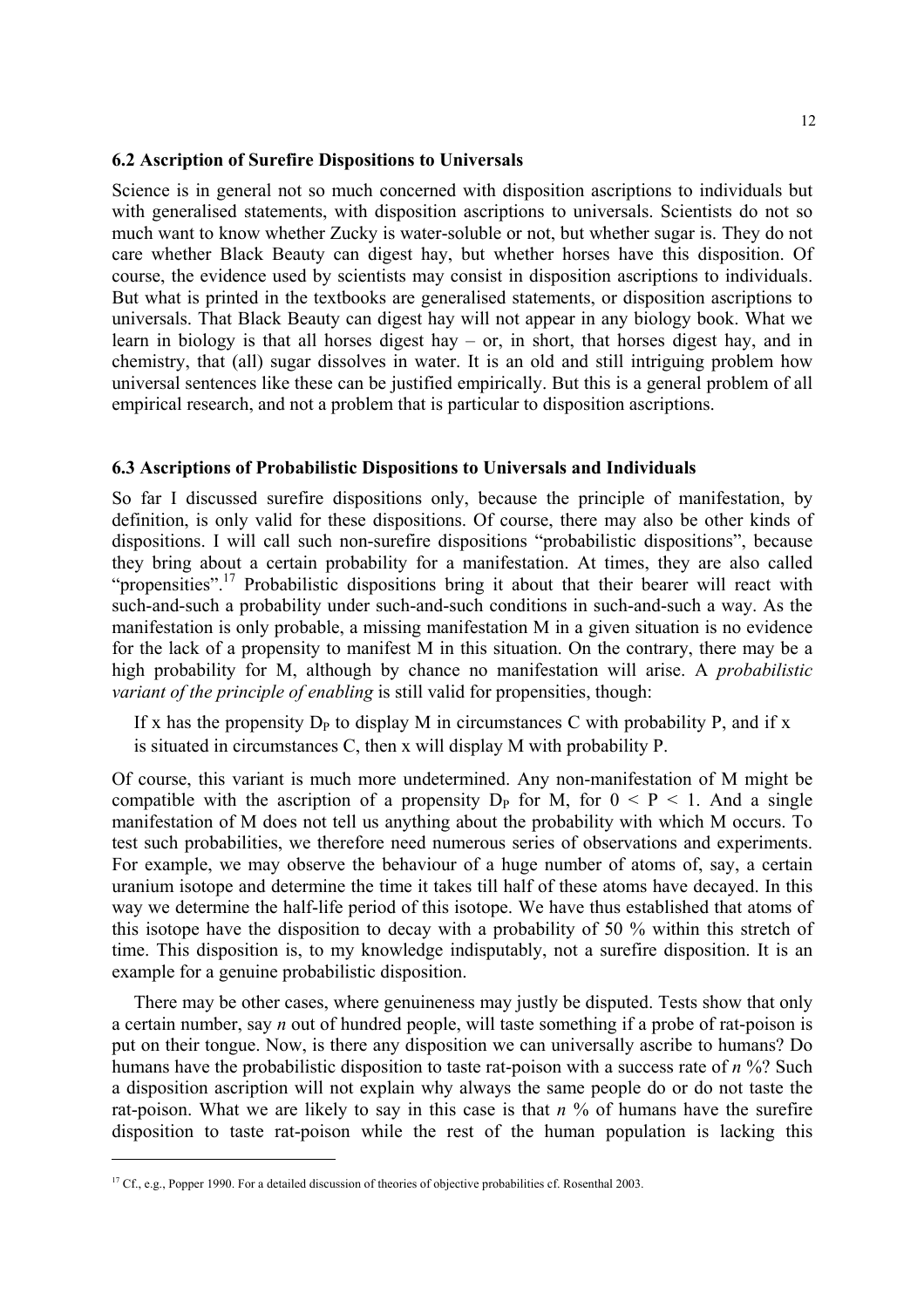#### **6.2 Ascription of Surefire Dispositions to Universals**

Science is in general not so much concerned with disposition ascriptions to individuals but with generalised statements, with disposition ascriptions to universals. Scientists do not so much want to know whether Zucky is water-soluble or not, but whether sugar is. They do not care whether Black Beauty can digest hay, but whether horses have this disposition. Of course, the evidence used by scientists may consist in disposition ascriptions to individuals. But what is printed in the textbooks are generalised statements, or disposition ascriptions to universals. That Black Beauty can digest hay will not appear in any biology book. What we learn in biology is that all horses digest hay – or, in short, that horses digest hay, and in chemistry, that (all) sugar dissolves in water. It is an old and still intriguing problem how universal sentences like these can be justified empirically. But this is a general problem of all empirical research, and not a problem that is particular to disposition ascriptions.

#### **6.3 Ascriptions of Probabilistic Dispositions to Universals and Individuals**

So far I discussed surefire dispositions only, because the principle of manifestation, by definition, is only valid for these dispositions. Of course, there may also be other kinds of dispositions. I will call such non-surefire dispositions "probabilistic dispositions", because they bring about a certain probability for a manifestation. At times, they are also called "propensities".<sup>17</sup> Probabilistic dispositions bring it about that their bearer will react with such-and-such a probability under such-and-such conditions in such-and-such a way. As the manifestation is only probable, a missing manifestation M in a given situation is no evidence for the lack of a propensity to manifest M in this situation. On the contrary, there may be a high probability for M, although by chance no manifestation will arise. A *probabilistic variant of the principle of enabling* is still valid for propensities, though:

If x has the propensity  $D_P$  to display M in circumstances C with probability P, and if x is situated in circumstances C, then x will display M with probability P.

Of course, this variant is much more undetermined. Any non-manifestation of M might be compatible with the ascription of a propensity  $D_P$  for M, for  $0 \le P \le 1$ . And a single manifestation of M does not tell us anything about the probability with which M occurs. To test such probabilities, we therefore need numerous series of observations and experiments. For example, we may observe the behaviour of a huge number of atoms of, say, a certain uranium isotope and determine the time it takes till half of these atoms have decayed. In this way we determine the half-life period of this isotope. We have thus established that atoms of this isotope have the disposition to decay with a probability of 50 % within this stretch of time. This disposition is, to my knowledge indisputably, not a surefire disposition. It is an example for a genuine probabilistic disposition.

There may be other cases, where genuineness may justly be disputed. Tests show that only a certain number, say *n* out of hundred people, will taste something if a probe of rat-poison is put on their tongue. Now, is there any disposition we can universally ascribe to humans? Do humans have the probabilistic disposition to taste rat-poison with a success rate of *n* %? Such a disposition ascription will not explain why always the same people do or do not taste the rat-poison. What we are likely to say in this case is that *n* % of humans have the surefire disposition to taste rat-poison while the rest of the human population is lacking this

<sup>&</sup>lt;sup>17</sup> Cf., e.g., Popper 1990. For a detailed discussion of theories of objective probabilities cf. Rosenthal 2003.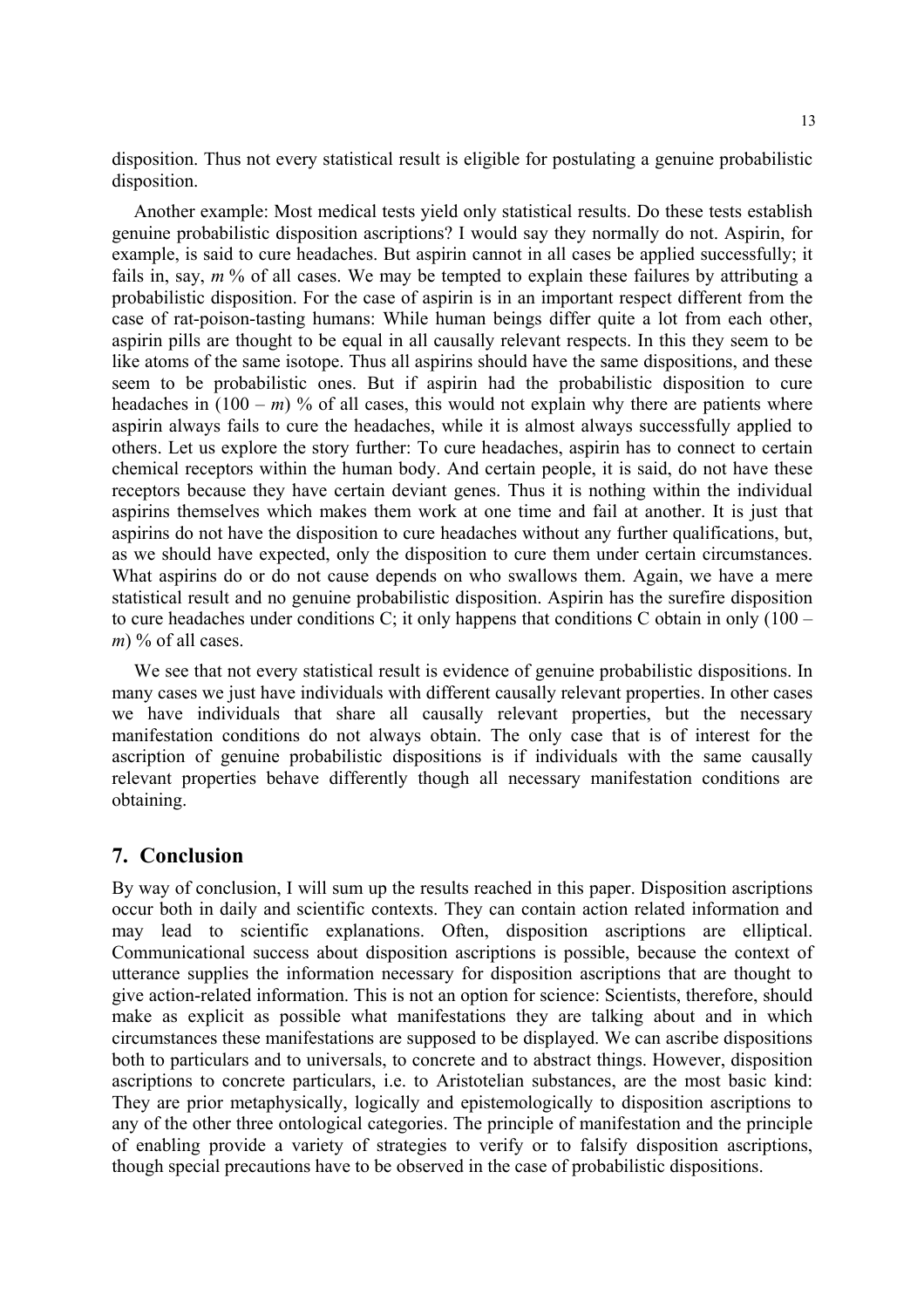disposition. Thus not every statistical result is eligible for postulating a genuine probabilistic disposition.

Another example: Most medical tests yield only statistical results. Do these tests establish genuine probabilistic disposition ascriptions? I would say they normally do not. Aspirin, for example, is said to cure headaches. But aspirin cannot in all cases be applied successfully; it fails in, say, *m* % of all cases. We may be tempted to explain these failures by attributing a probabilistic disposition. For the case of aspirin is in an important respect different from the case of rat-poison-tasting humans: While human beings differ quite a lot from each other, aspirin pills are thought to be equal in all causally relevant respects. In this they seem to be like atoms of the same isotope. Thus all aspirins should have the same dispositions, and these seem to be probabilistic ones. But if aspirin had the probabilistic disposition to cure headaches in  $(100 - m)$  % of all cases, this would not explain why there are patients where aspirin always fails to cure the headaches, while it is almost always successfully applied to others. Let us explore the story further: To cure headaches, aspirin has to connect to certain chemical receptors within the human body. And certain people, it is said, do not have these receptors because they have certain deviant genes. Thus it is nothing within the individual aspirins themselves which makes them work at one time and fail at another. It is just that aspirins do not have the disposition to cure headaches without any further qualifications, but, as we should have expected, only the disposition to cure them under certain circumstances. What aspirins do or do not cause depends on who swallows them. Again, we have a mere statistical result and no genuine probabilistic disposition. Aspirin has the surefire disposition to cure headaches under conditions C; it only happens that conditions C obtain in only (100 – *m*) % of all cases.

We see that not every statistical result is evidence of genuine probabilistic dispositions. In many cases we just have individuals with different causally relevant properties. In other cases we have individuals that share all causally relevant properties, but the necessary manifestation conditions do not always obtain. The only case that is of interest for the ascription of genuine probabilistic dispositions is if individuals with the same causally relevant properties behave differently though all necessary manifestation conditions are obtaining.

### **7. Conclusion**

By way of conclusion, I will sum up the results reached in this paper. Disposition ascriptions occur both in daily and scientific contexts. They can contain action related information and may lead to scientific explanations. Often, disposition ascriptions are elliptical. Communicational success about disposition ascriptions is possible, because the context of utterance supplies the information necessary for disposition ascriptions that are thought to give action-related information. This is not an option for science: Scientists, therefore, should make as explicit as possible what manifestations they are talking about and in which circumstances these manifestations are supposed to be displayed. We can ascribe dispositions both to particulars and to universals, to concrete and to abstract things. However, disposition ascriptions to concrete particulars, i.e. to Aristotelian substances, are the most basic kind: They are prior metaphysically, logically and epistemologically to disposition ascriptions to any of the other three ontological categories. The principle of manifestation and the principle of enabling provide a variety of strategies to verify or to falsify disposition ascriptions, though special precautions have to be observed in the case of probabilistic dispositions.